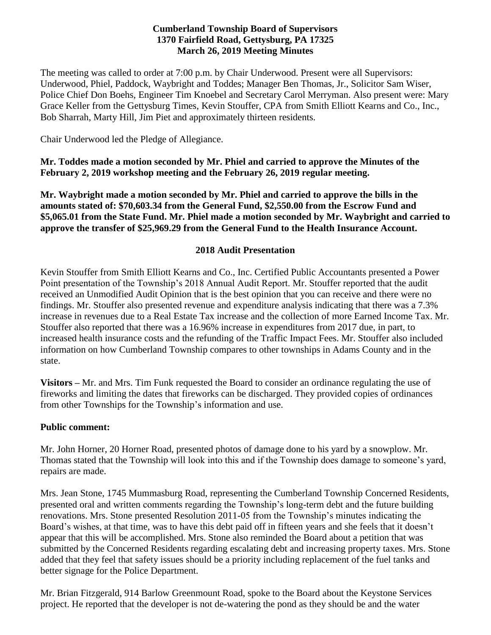## **Cumberland Township Board of Supervisors 1370 Fairfield Road, Gettysburg, PA 17325 March 26, 2019 Meeting Minutes**

The meeting was called to order at 7:00 p.m. by Chair Underwood. Present were all Supervisors: Underwood, Phiel, Paddock, Waybright and Toddes; Manager Ben Thomas, Jr., Solicitor Sam Wiser, Police Chief Don Boehs, Engineer Tim Knoebel and Secretary Carol Merryman. Also present were: Mary Grace Keller from the Gettysburg Times, Kevin Stouffer, CPA from Smith Elliott Kearns and Co., Inc., Bob Sharrah, Marty Hill, Jim Piet and approximately thirteen residents.

Chair Underwood led the Pledge of Allegiance.

**Mr. Toddes made a motion seconded by Mr. Phiel and carried to approve the Minutes of the February 2, 2019 workshop meeting and the February 26, 2019 regular meeting.**

**Mr. Waybright made a motion seconded by Mr. Phiel and carried to approve the bills in the amounts stated of: \$70,603.34 from the General Fund, \$2,550.00 from the Escrow Fund and \$5,065.01 from the State Fund. Mr. Phiel made a motion seconded by Mr. Waybright and carried to approve the transfer of \$25,969.29 from the General Fund to the Health Insurance Account.**

#### **2018 Audit Presentation**

Kevin Stouffer from Smith Elliott Kearns and Co., Inc. Certified Public Accountants presented a Power Point presentation of the Township's 2018 Annual Audit Report. Mr. Stouffer reported that the audit received an Unmodified Audit Opinion that is the best opinion that you can receive and there were no findings. Mr. Stouffer also presented revenue and expenditure analysis indicating that there was a 7.3% increase in revenues due to a Real Estate Tax increase and the collection of more Earned Income Tax. Mr. Stouffer also reported that there was a 16.96% increase in expenditures from 2017 due, in part, to increased health insurance costs and the refunding of the Traffic Impact Fees. Mr. Stouffer also included information on how Cumberland Township compares to other townships in Adams County and in the state.

**Visitors –** Mr. and Mrs. Tim Funk requested the Board to consider an ordinance regulating the use of fireworks and limiting the dates that fireworks can be discharged. They provided copies of ordinances from other Townships for the Township's information and use.

#### **Public comment:**

Mr. John Horner, 20 Horner Road, presented photos of damage done to his yard by a snowplow. Mr. Thomas stated that the Township will look into this and if the Township does damage to someone's yard, repairs are made.

Mrs. Jean Stone, 1745 Mummasburg Road, representing the Cumberland Township Concerned Residents, presented oral and written comments regarding the Township's long-term debt and the future building renovations. Mrs. Stone presented Resolution 2011-05 from the Township's minutes indicating the Board's wishes, at that time, was to have this debt paid off in fifteen years and she feels that it doesn't appear that this will be accomplished. Mrs. Stone also reminded the Board about a petition that was submitted by the Concerned Residents regarding escalating debt and increasing property taxes. Mrs. Stone added that they feel that safety issues should be a priority including replacement of the fuel tanks and better signage for the Police Department.

Mr. Brian Fitzgerald, 914 Barlow Greenmount Road, spoke to the Board about the Keystone Services project. He reported that the developer is not de-watering the pond as they should be and the water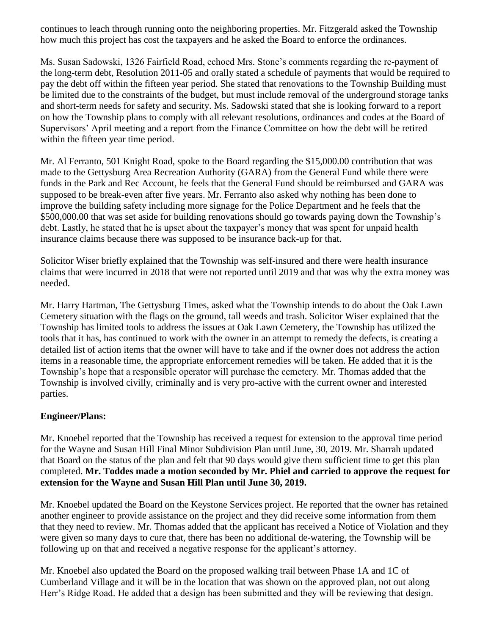continues to leach through running onto the neighboring properties. Mr. Fitzgerald asked the Township how much this project has cost the taxpayers and he asked the Board to enforce the ordinances.

Ms. Susan Sadowski, 1326 Fairfield Road, echoed Mrs. Stone's comments regarding the re-payment of the long-term debt, Resolution 2011-05 and orally stated a schedule of payments that would be required to pay the debt off within the fifteen year period. She stated that renovations to the Township Building must be limited due to the constraints of the budget, but must include removal of the underground storage tanks and short-term needs for safety and security. Ms. Sadowski stated that she is looking forward to a report on how the Township plans to comply with all relevant resolutions, ordinances and codes at the Board of Supervisors' April meeting and a report from the Finance Committee on how the debt will be retired within the fifteen year time period.

Mr. Al Ferranto, 501 Knight Road, spoke to the Board regarding the \$15,000.00 contribution that was made to the Gettysburg Area Recreation Authority (GARA) from the General Fund while there were funds in the Park and Rec Account, he feels that the General Fund should be reimbursed and GARA was supposed to be break-even after five years. Mr. Ferranto also asked why nothing has been done to improve the building safety including more signage for the Police Department and he feels that the \$500,000.00 that was set aside for building renovations should go towards paying down the Township's debt. Lastly, he stated that he is upset about the taxpayer's money that was spent for unpaid health insurance claims because there was supposed to be insurance back-up for that.

Solicitor Wiser briefly explained that the Township was self-insured and there were health insurance claims that were incurred in 2018 that were not reported until 2019 and that was why the extra money was needed.

Mr. Harry Hartman, The Gettysburg Times, asked what the Township intends to do about the Oak Lawn Cemetery situation with the flags on the ground, tall weeds and trash. Solicitor Wiser explained that the Township has limited tools to address the issues at Oak Lawn Cemetery, the Township has utilized the tools that it has, has continued to work with the owner in an attempt to remedy the defects, is creating a detailed list of action items that the owner will have to take and if the owner does not address the action items in a reasonable time, the appropriate enforcement remedies will be taken. He added that it is the Township's hope that a responsible operator will purchase the cemetery. Mr. Thomas added that the Township is involved civilly, criminally and is very pro-active with the current owner and interested parties.

## **Engineer/Plans:**

Mr. Knoebel reported that the Township has received a request for extension to the approval time period for the Wayne and Susan Hill Final Minor Subdivision Plan until June, 30, 2019. Mr. Sharrah updated that Board on the status of the plan and felt that 90 days would give them sufficient time to get this plan completed. **Mr. Toddes made a motion seconded by Mr. Phiel and carried to approve the request for extension for the Wayne and Susan Hill Plan until June 30, 2019.** 

Mr. Knoebel updated the Board on the Keystone Services project. He reported that the owner has retained another engineer to provide assistance on the project and they did receive some information from them that they need to review. Mr. Thomas added that the applicant has received a Notice of Violation and they were given so many days to cure that, there has been no additional de-watering, the Township will be following up on that and received a negative response for the applicant's attorney.

Mr. Knoebel also updated the Board on the proposed walking trail between Phase 1A and 1C of Cumberland Village and it will be in the location that was shown on the approved plan, not out along Herr's Ridge Road. He added that a design has been submitted and they will be reviewing that design.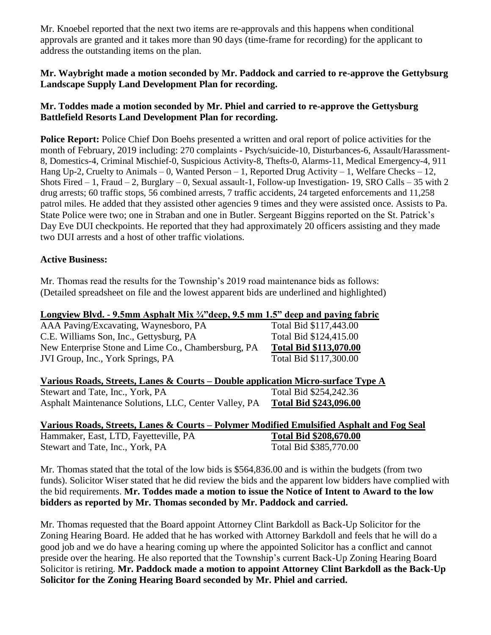Mr. Knoebel reported that the next two items are re-approvals and this happens when conditional approvals are granted and it takes more than 90 days (time-frame for recording) for the applicant to address the outstanding items on the plan.

## **Mr. Waybright made a motion seconded by Mr. Paddock and carried to re-approve the Gettybsurg Landscape Supply Land Development Plan for recording.**

## **Mr. Toddes made a motion seconded by Mr. Phiel and carried to re-approve the Gettysburg Battlefield Resorts Land Development Plan for recording.**

**Police Report:** Police Chief Don Boehs presented a written and oral report of police activities for the month of February, 2019 including: 270 complaints - Psych/suicide-10, Disturbances-6, Assault/Harassment-8, Domestics-4, Criminal Mischief-0, Suspicious Activity-8, Thefts-0, Alarms-11, Medical Emergency-4, 911 Hang Up-2, Cruelty to Animals – 0, Wanted Person – 1, Reported Drug Activity – 1, Welfare Checks – 12, Shots Fired  $-1$ , Fraud  $-2$ , Burglary  $-0$ , Sexual assault-1, Follow-up Investigation- 19, SRO Calls  $-35$  with 2 drug arrests; 60 traffic stops, 56 combined arrests, 7 traffic accidents, 24 targeted enforcements and 11,258 patrol miles. He added that they assisted other agencies 9 times and they were assisted once. Assists to Pa. State Police were two; one in Straban and one in Butler. Sergeant Biggins reported on the St. Patrick's Day Eve DUI checkpoints. He reported that they had approximately 20 officers assisting and they made two DUI arrests and a host of other traffic violations.

## **Active Business:**

Mr. Thomas read the results for the Township's 2019 road maintenance bids as follows: (Detailed spreadsheet on file and the lowest apparent bids are underlined and highlighted)

#### **Longview Blvd. - 9.5mm Asphalt Mix ¾"deep, 9.5 mm 1.5" deep and paving fabric**

AAA Paving/Excavating, Waynesboro, PA Total Bid \$117,443.00 C.E. Williams Son, Inc., Gettysburg, PA Total Bid \$124,415.00 New Enterprise Stone and Lime Co., Chambersburg, PA **Total Bid \$113,070.00** JVI Group, Inc., York Springs, PA Total Bid \$117,300.00

# **Various Roads, Streets, Lanes & Courts – Double application Micro-surface Type A**

Stewart and Tate, Inc., York, PA Total Bid \$254,242.36 Asphalt Maintenance Solutions, LLC, Center Valley, PA **Total Bid \$243,096.00**

#### **Various Roads, Streets, Lanes & Courts – Polymer Modified Emulsified Asphalt and Fog Seal** Hammaker, East, LTD, Fayetteville, PA **Total Bid \$208,670.00** Stewart and Tate, Inc., York, PA Total Bid \$385,770.00

Mr. Thomas stated that the total of the low bids is \$564,836.00 and is within the budgets (from two funds). Solicitor Wiser stated that he did review the bids and the apparent low bidders have complied with the bid requirements. **Mr. Toddes made a motion to issue the Notice of Intent to Award to the low bidders as reported by Mr. Thomas seconded by Mr. Paddock and carried.**

Mr. Thomas requested that the Board appoint Attorney Clint Barkdoll as Back-Up Solicitor for the Zoning Hearing Board. He added that he has worked with Attorney Barkdoll and feels that he will do a good job and we do have a hearing coming up where the appointed Solicitor has a conflict and cannot preside over the hearing. He also reported that the Township's current Back-Up Zoning Hearing Board Solicitor is retiring. **Mr. Paddock made a motion to appoint Attorney Clint Barkdoll as the Back-Up Solicitor for the Zoning Hearing Board seconded by Mr. Phiel and carried.**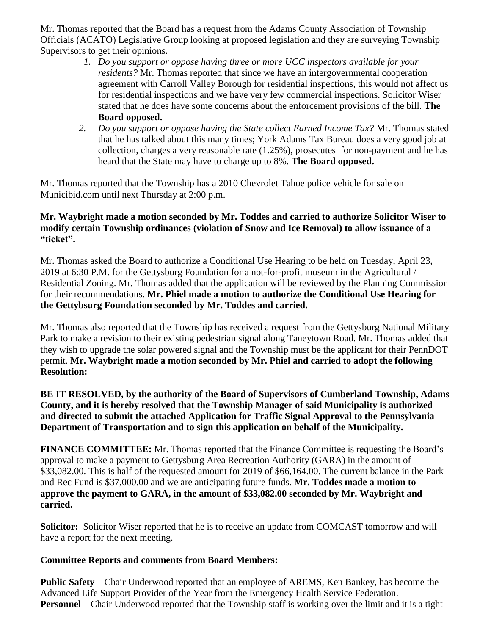Mr. Thomas reported that the Board has a request from the Adams County Association of Township Officials (ACATO) Legislative Group looking at proposed legislation and they are surveying Township Supervisors to get their opinions.

- *1. Do you support or oppose having three or more UCC inspectors available for your residents?* Mr. Thomas reported that since we have an intergovernmental cooperation agreement with Carroll Valley Borough for residential inspections, this would not affect us for residential inspections and we have very few commercial inspections. Solicitor Wiser stated that he does have some concerns about the enforcement provisions of the bill. **The Board opposed.**
- *2. Do you support or oppose having the State collect Earned Income Tax?* Mr. Thomas stated that he has talked about this many times; York Adams Tax Bureau does a very good job at collection, charges a very reasonable rate (1.25%), prosecutes for non-payment and he has heard that the State may have to charge up to 8%. **The Board opposed.**

Mr. Thomas reported that the Township has a 2010 Chevrolet Tahoe police vehicle for sale on Municibid.com until next Thursday at 2:00 p.m.

#### **Mr. Waybright made a motion seconded by Mr. Toddes and carried to authorize Solicitor Wiser to modify certain Township ordinances (violation of Snow and Ice Removal) to allow issuance of a "ticket".**

Mr. Thomas asked the Board to authorize a Conditional Use Hearing to be held on Tuesday, April 23, 2019 at 6:30 P.M. for the Gettysburg Foundation for a not-for-profit museum in the Agricultural / Residential Zoning. Mr. Thomas added that the application will be reviewed by the Planning Commission for their recommendations. **Mr. Phiel made a motion to authorize the Conditional Use Hearing for the Gettybsurg Foundation seconded by Mr. Toddes and carried.**

Mr. Thomas also reported that the Township has received a request from the Gettysburg National Military Park to make a revision to their existing pedestrian signal along Taneytown Road. Mr. Thomas added that they wish to upgrade the solar powered signal and the Township must be the applicant for their PennDOT permit. **Mr. Waybright made a motion seconded by Mr. Phiel and carried to adopt the following Resolution:**

**BE IT RESOLVED, by the authority of the Board of Supervisors of Cumberland Township, Adams County, and it is hereby resolved that the Township Manager of said Municipality is authorized and directed to submit the attached Application for Traffic Signal Approval to the Pennsylvania Department of Transportation and to sign this application on behalf of the Municipality.**

**FINANCE COMMITTEE:** Mr. Thomas reported that the Finance Committee is requesting the Board's approval to make a payment to Gettysburg Area Recreation Authority (GARA) in the amount of \$33,082.00. This is half of the requested amount for 2019 of \$66,164.00. The current balance in the Park and Rec Fund is \$37,000.00 and we are anticipating future funds. **Mr. Toddes made a motion to approve the payment to GARA, in the amount of \$33,082.00 seconded by Mr. Waybright and carried.**

**Solicitor:** Solicitor Wiser reported that he is to receive an update from COMCAST tomorrow and will have a report for the next meeting.

## **Committee Reports and comments from Board Members:**

**Public Safety –** Chair Underwood reported that an employee of AREMS, Ken Bankey, has become the Advanced Life Support Provider of the Year from the Emergency Health Service Federation. **Personnel –** Chair Underwood reported that the Township staff is working over the limit and it is a tight